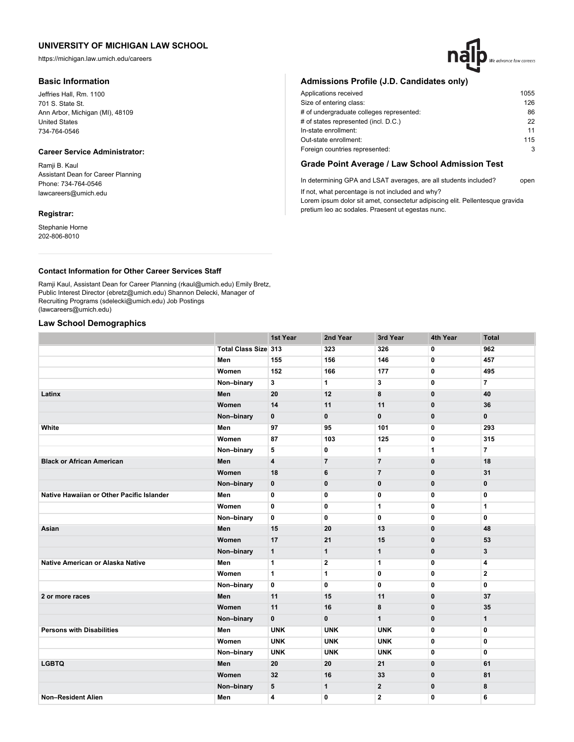https://michigan.law.umich.edu/careers

### **Basic Information**

Jeffries Hall, Rm. 1100 701 S. State St. Ann Arbor, Michigan (MI), 48109 United States 734-764-0546

### **Career Service Administrator:**

Ramji B. Kaul Assistant Dean for Career Planning Phone: 734-764-0546 lawcareers@umich.edu

# **Registrar:**

Stephanie Horne 202-806-8010

## **Admissions Profile (J.D. Candidates only)**

| Applications received                    | 1055 |
|------------------------------------------|------|
| Size of entering class:                  | 126  |
| # of undergraduate colleges represented: | 86   |
| # of states represented (incl. D.C.)     | 22   |
| In-state enrollment:                     | 11   |
| Out-state enrollment:                    | 115  |
| Foreign countries represented:           | 3    |

### **Grade Point Average / Law School Admission Test**

In determining GPA and LSAT averages, are all students included? open If not, what percentage is not included and why?

Lorem ipsum dolor sit amet, consectetur adipiscing elit. Pellentesque gravida pretium leo ac sodales. Praesent ut egestas nunc.

### **Contact Information for Other Career Services Staff**

Ramji Kaul, Assistant Dean for Career Planning (rkaul@umich.edu) Emily Bretz, Public Interest Director (ebretz@umich.edu) Shannon Delecki, Manager of Recruiting Programs (sdelecki@umich.edu) Job Postings (lawcareers@umich.edu)

### **Law School Demographics**

|                                           |                             | 1st Year                | 2nd Year       | 3rd Year       | 4th Year     | <b>Total</b>   |
|-------------------------------------------|-----------------------------|-------------------------|----------------|----------------|--------------|----------------|
|                                           | <b>Total Class Size 313</b> |                         | 323            | 326            | 0            | 962            |
|                                           | Men                         | 155                     | 156            | 146            | $\mathbf{0}$ | 457            |
|                                           | Women                       | 152                     | 166            | 177            | 0            | 495            |
|                                           | Non-binary                  | 3                       | $\mathbf{1}$   | 3              | $\mathbf{0}$ | $\overline{7}$ |
| Latinx                                    | Men                         | 20                      | 12             | 8              | $\mathbf 0$  | 40             |
|                                           | Women                       | 14                      | 11             | 11             | $\mathbf 0$  | 36             |
|                                           | Non-binary                  | $\mathbf{0}$            | $\mathbf{0}$   | $\mathbf{0}$   | $\mathbf{0}$ | $\mathbf{0}$   |
| White                                     | Men                         | 97                      | 95             | 101            | $\mathbf 0$  | 293            |
|                                           | Women                       | 87                      | 103            | 125            | 0            | 315            |
|                                           | Non-binary                  | 5                       | $\mathbf 0$    | $\mathbf{1}$   | 1            | $\overline{7}$ |
| <b>Black or African American</b>          | Men                         | $\overline{\mathbf{4}}$ | $\overline{7}$ | $\overline{7}$ | $\mathbf 0$  | 18             |
|                                           | Women                       | 18                      | 6              | $\overline{7}$ | $\mathbf{0}$ | 31             |
|                                           | Non-binary                  | $\bf{0}$                | $\mathbf 0$    | $\mathbf 0$    | $\mathbf{0}$ | 0              |
| Native Hawaiian or Other Pacific Islander | Men                         | 0                       | 0              | 0              | 0            | 0              |
|                                           | Women                       | $\mathbf{0}$            | 0              | $\mathbf{1}$   | $\mathbf{0}$ | 1              |
|                                           | Non-binary                  | 0                       | 0              | 0              | $\mathbf{0}$ | 0              |
| Asian                                     | Men                         | 15                      | 20             | 13             | $\mathbf 0$  | 48             |
|                                           | Women                       | 17                      | 21             | 15             | $\mathbf{0}$ | 53             |
|                                           | Non-binary                  | $\mathbf{1}$            | $\mathbf{1}$   | $\mathbf{1}$   | $\bf{0}$     | 3              |
| Native American or Alaska Native          | Men                         | 1                       | 2              | 1              | 0            | 4              |
|                                           | Women                       | $\mathbf{1}$            | 1              | 0              | $\mathbf{0}$ | $\mathbf{2}$   |
|                                           | Non-binary                  | 0                       | 0              | 0              | 0            | 0              |
| 2 or more races                           | Men                         | 11                      | 15             | 11             | $\mathbf{0}$ | 37             |
|                                           | Women                       | 11                      | 16             | 8              | $\mathbf 0$  | 35             |
|                                           | Non-binary                  | $\mathbf 0$             | $\mathbf{0}$   | $\mathbf{1}$   | $\mathbf 0$  | $\mathbf{1}$   |
| <b>Persons with Disabilities</b>          | Men                         | <b>UNK</b>              | <b>UNK</b>     | <b>UNK</b>     | $\mathbf{0}$ | 0              |
|                                           | Women                       | <b>UNK</b>              | <b>UNK</b>     | <b>UNK</b>     | $\mathbf{0}$ | 0              |
|                                           | Non-binary                  | <b>UNK</b>              | <b>UNK</b>     | <b>UNK</b>     | 0            | 0              |
| <b>LGBTQ</b>                              | Men                         | 20                      | 20             | 21             | $\mathbf 0$  | 61             |
|                                           | Women                       | 32                      | 16             | 33             | $\mathbf 0$  | 81             |
|                                           | Non-binary                  | 5                       | $\mathbf{1}$   | $\mathbf{2}$   | 0            | 8              |
| <b>Non-Resident Alien</b>                 | Men                         | $\overline{4}$          | $\mathbf 0$    | $\overline{2}$ | $\mathbf{0}$ | 6              |

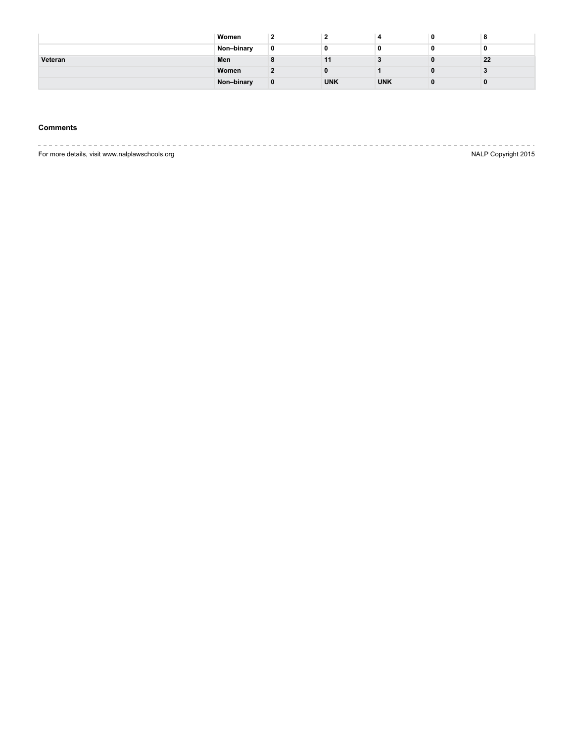|         | Women      |            |            |    |
|---------|------------|------------|------------|----|
|         | Non-binary |            |            |    |
| Veteran | Men        | 11         |            | 22 |
|         | Women      |            |            |    |
|         | Non-binary | <b>UNK</b> | <b>UNK</b> |    |

# **Comments**

|                                                | ______________      |
|------------------------------------------------|---------------------|
| For more details, visit www.nalplawschools.org | NALP Copyright 2015 |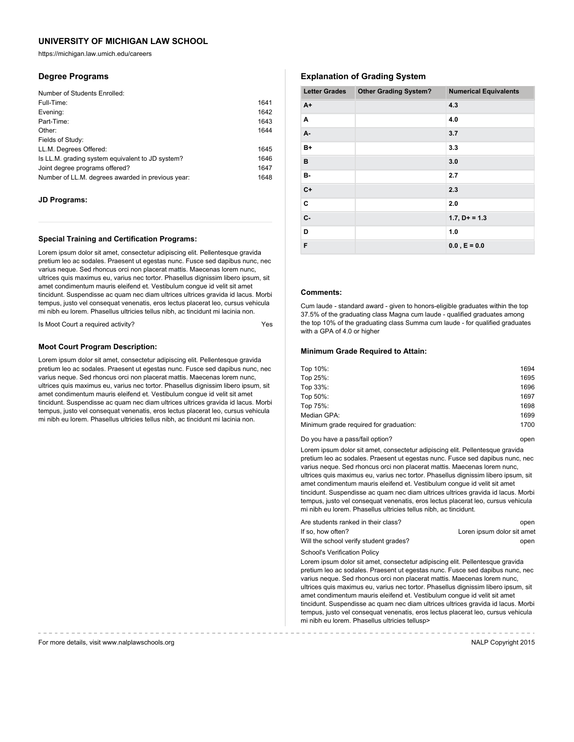https://michigan.law.umich.edu/careers

### **Degree Programs**

| Number of Students Enrolled:                      |      |
|---------------------------------------------------|------|
| Full-Time:                                        | 1641 |
| Evening:                                          | 1642 |
| Part-Time:                                        | 1643 |
| Other:                                            | 1644 |
| Fields of Study:                                  |      |
| LL.M. Degrees Offered:                            | 1645 |
| Is LL.M. grading system equivalent to JD system?  | 1646 |
| Joint degree programs offered?                    | 1647 |
| Number of LL.M. degrees awarded in previous year: | 1648 |

#### **JD Programs:**

#### **Special Training and Certification Programs:**

Lorem ipsum dolor sit amet, consectetur adipiscing elit. Pellentesque gravida pretium leo ac sodales. Praesent ut egestas nunc. Fusce sed dapibus nunc, nec varius neque. Sed rhoncus orci non placerat mattis. Maecenas lorem nunc, ultrices quis maximus eu, varius nec tortor. Phasellus dignissim libero ipsum, sit amet condimentum mauris eleifend et. Vestibulum congue id velit sit amet tincidunt. Suspendisse ac quam nec diam ultrices ultrices gravida id lacus. Morbi tempus, justo vel consequat venenatis, eros lectus placerat leo, cursus vehicula mi nibh eu lorem. Phasellus ultricies tellus nibh, ac tincidunt mi lacinia non.

Is Moot Court a required activity?

#### **Moot Court Program Description:**

Lorem ipsum dolor sit amet, consectetur adipiscing elit. Pellentesque gravida pretium leo ac sodales. Praesent ut egestas nunc. Fusce sed dapibus nunc, nec varius neque. Sed rhoncus orci non placerat mattis. Maecenas lorem nunc, ultrices quis maximus eu, varius nec tortor. Phasellus dignissim libero ipsum, sit amet condimentum mauris eleifend et. Vestibulum congue id velit sit amet tincidunt. Suspendisse ac quam nec diam ultrices ultrices gravida id lacus. Morbi tempus, justo vel consequat venenatis, eros lectus placerat leo, cursus vehicula mi nibh eu lorem. Phasellus ultricies tellus nibh, ac tincidunt mi lacinia non.

## **Explanation of Grading System**

| <b>Letter Grades</b> | <b>Other Grading System?</b> | <b>Numerical Equivalents</b> |
|----------------------|------------------------------|------------------------------|
| $A+$                 |                              | 4.3                          |
| A                    |                              | 4.0                          |
| A-                   |                              | 3.7                          |
| B+                   |                              | 3.3                          |
| B                    |                              | 3.0                          |
| в-                   |                              | 2.7                          |
| $C+$                 |                              | 2.3                          |
| C                    |                              | 2.0                          |
| $C -$                |                              | $1.7, D+ = 1.3$              |
| D                    |                              | 1.0                          |
| F                    |                              | $0.0$ , $E = 0.0$            |

### **Comments:**

Cum laude - standard award - given to honors-eligible graduates within the top 37.5% of the graduating class Magna cum laude - qualified graduates among the top 10% of the graduating class Summa cum laude - for qualified graduates with a GPA of 4.0 or higher

#### **Minimum Grade Required to Attain:**

| Top 10%:                               | 1694 |
|----------------------------------------|------|
| Top 25%:                               | 1695 |
| Top 33%:                               | 1696 |
| Top 50%:                               | 1697 |
| Top 75%:                               | 1698 |
| Median GPA:                            | 1699 |
| Minimum grade required for graduation: | 1700 |
|                                        |      |

#### Do you have a pass/fail option? The control open by the control open by the control open

Lorem ipsum dolor sit amet, consectetur adipiscing elit. Pellentesque gravida pretium leo ac sodales. Praesent ut egestas nunc. Fusce sed dapibus nunc, nec varius neque. Sed rhoncus orci non placerat mattis. Maecenas lorem nunc, ultrices quis maximus eu, varius nec tortor. Phasellus dignissim libero ipsum, sit amet condimentum mauris eleifend et. Vestibulum congue id velit sit amet tincidunt. Suspendisse ac quam nec diam ultrices ultrices gravida id lacus. Morbi tempus, justo vel consequat venenatis, eros lectus placerat leo, cursus vehicula mi nibh eu lorem. Phasellus ultricies tellus nibh, ac tincidunt.

| Are students ranked in their class?    | open                       |
|----------------------------------------|----------------------------|
| If so, how often?                      | Loren ipsum dolor sit amet |
| Will the school verify student grades? | open                       |
| School's Verification Policy           |                            |

Lorem ipsum dolor sit amet, consectetur adipiscing elit. Pellentesque gravida pretium leo ac sodales. Praesent ut egestas nunc. Fusce sed dapibus nunc, nec varius neque. Sed rhoncus orci non placerat mattis. Maecenas lorem nunc, ultrices quis maximus eu, varius nec tortor. Phasellus dignissim libero ipsum, sit amet condimentum mauris eleifend et. Vestibulum congue id velit sit amet tincidunt. Suspendisse ac quam nec diam ultrices ultrices gravida id lacus. Morbi tempus, justo vel consequat venenatis, eros lectus placerat leo, cursus vehicula mi nibh eu lorem. Phasellus ultricies tellusp>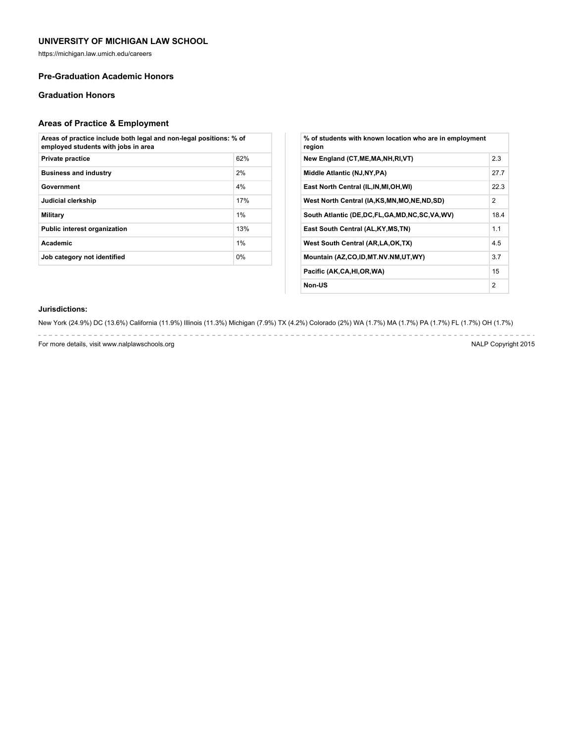https://michigan.law.umich.edu/careers

### **Pre-Graduation Academic Honors**

## **Graduation Honors**

# **Areas of Practice & Employment**

| Areas of practice include both legal and non-legal positions: % of<br>employed students with jobs in area |     |  |
|-----------------------------------------------------------------------------------------------------------|-----|--|
| <b>Private practice</b>                                                                                   | 62% |  |
| <b>Business and industry</b>                                                                              | 2%  |  |
| Government                                                                                                | 4%  |  |
| Judicial clerkship                                                                                        | 17% |  |
| Military                                                                                                  | 1%  |  |
| <b>Public interest organization</b>                                                                       | 13% |  |
| Academic                                                                                                  | 1%  |  |
| Job category not identified                                                                               | 0%  |  |

| % of students with known location who are in employment<br>region |                |
|-------------------------------------------------------------------|----------------|
| New England (CT, ME, MA, NH, RI, VT)                              | 2.3            |
| Middle Atlantic (NJ, NY, PA)                                      | 27.7           |
| East North Central (IL, IN, MI, OH, WI)                           | 22.3           |
| West North Central (IA,KS,MN,MO,NE,ND,SD)                         | 2              |
| South Atlantic (DE,DC,FL,GA,MD,NC,SC,VA,WV)                       | 18.4           |
| East South Central (AL, KY, MS, TN)                               | 1.1            |
| West South Central (AR, LA, OK, TX)                               | 4.5            |
| Mountain (AZ,CO,ID,MT.NV.NM,UT,WY)                                | 3.7            |
| Pacific (AK,CA,HI,OR,WA)                                          | 15             |
| Non-US                                                            | $\overline{2}$ |

### **Jurisdictions:**

New York (24.9%) DC (13.6%) California (11.9%) Illinois (11.3%) Michigan (7.9%) TX (4.2%) Colorado (2%) WA (1.7%) MA (1.7%) PA (1.7%) FL (1.7%) OH (1.7%)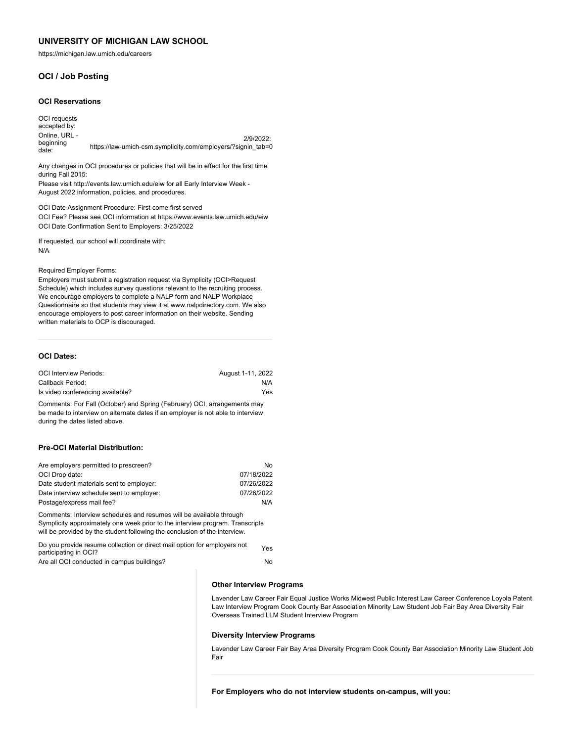https://michigan.law.umich.edu/careers

## **OCI / Job Posting**

#### **OCI Reservations**

OCI requests accepted by: Online, URL beginning date: 2/9/2022: https://law-umich-csm.symplicity.com/employers/?signin\_tab=0

Any changes in OCI procedures or policies that will be in effect for the first time during Fall 2015:

Please visit http://events.law.umich.edu/eiw for all Early Interview Week - August 2022 information, policies, and procedures.

OCI Date Assignment Procedure: First come first served OCI Fee? Please see OCI information at https://www.events.law.umich.edu/eiw OCI Date Confirmation Sent to Employers: 3/25/2022

If requested, our school will coordinate with: N/A

Required Employer Forms:

Employers must submit a registration request via Symplicity (OCI>Request Schedule) which includes survey questions relevant to the recruiting process. We encourage employers to complete a NALP form and NALP Workplace Questionnaire so that students may view it at www.nalpdirectory.com. We also encourage employers to post career information on their website. Sending written materials to OCP is discouraged.

#### **OCI Dates:**

| <b>OCI Interview Periods:</b>    | August 1-11, 2022 |
|----------------------------------|-------------------|
| Callback Period:                 | N/A               |
| Is video conferencing available? | Yes               |

Comments: For Fall (October) and Spring (February) OCI, arrangements may be made to interview on alternate dates if an employer is not able to interview during the dates listed above.

#### **Pre-OCI Material Distribution:**

| Are employers permitted to prescreen?     | No         |
|-------------------------------------------|------------|
| OCI Drop date:                            | 07/18/2022 |
| Date student materials sent to employer:  | 07/26/2022 |
| Date interview schedule sent to employer: | 07/26/2022 |
| Postage/express mail fee?                 | N/A        |

Comments: Interview schedules and resumes will be available through Symplicity approximately one week prior to the interview program. Transcripts will be provided by the student following the conclusion of the interview.

| Do you provide resume collection or direct mail option for employers not | Yes |
|--------------------------------------------------------------------------|-----|
| participating in OCI?                                                    |     |
| Are all OCI conducted in campus buildings?                               | No  |

#### **Other Interview Programs**

Lavender Law Career Fair Equal Justice Works Midwest Public Interest Law Career Conference Loyola Patent Law Interview Program Cook County Bar Association Minority Law Student Job Fair Bay Area Diversity Fair Overseas Trained LLM Student Interview Program

#### **Diversity Interview Programs**

Lavender Law Career Fair Bay Area Diversity Program Cook County Bar Association Minority Law Student Job Fair

**For Employers who do not interview students on-campus, will you:**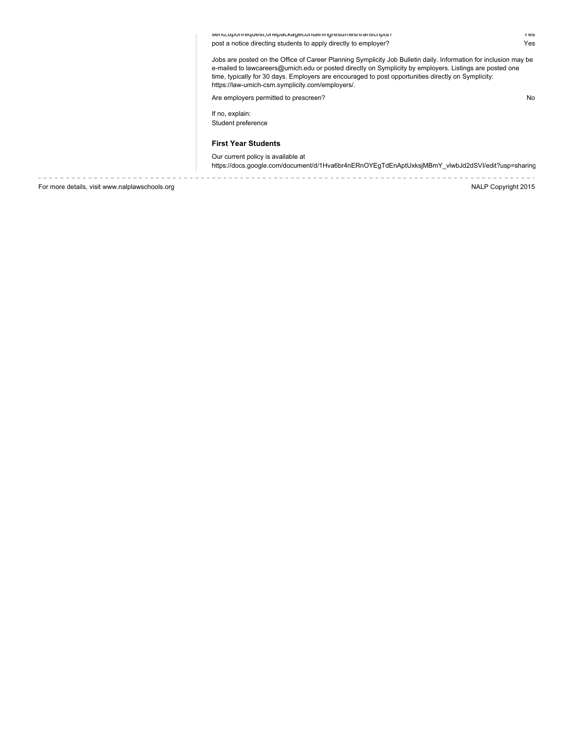send,uponrequest,onepackagecontainingresumes/transcripts? Yes post a notice directing students to apply directly to employer? The method of the students of the Yes

Jobs are posted on the Office of Career Planning Symplicity Job Bulletin daily. Information for inclusion may be e-mailed to lawcareers@umich.edu or posted directly on Symplicity by employers. Listings are posted one time, typically for 30 days. Employers are encouraged to post opportunities directly on Symplicity: https://law-umich-csm.symplicity.com/employers/.

Are employers permitted to prescreen? No

If no, explain: Student preference

#### **First Year Students**

Our current policy is available at

https://docs.google.com/document/d/1Hva6br4nERnOYEgTdEnAptUxksjMBmY\_vlwbJd2dSVI/edit?usp=sharing